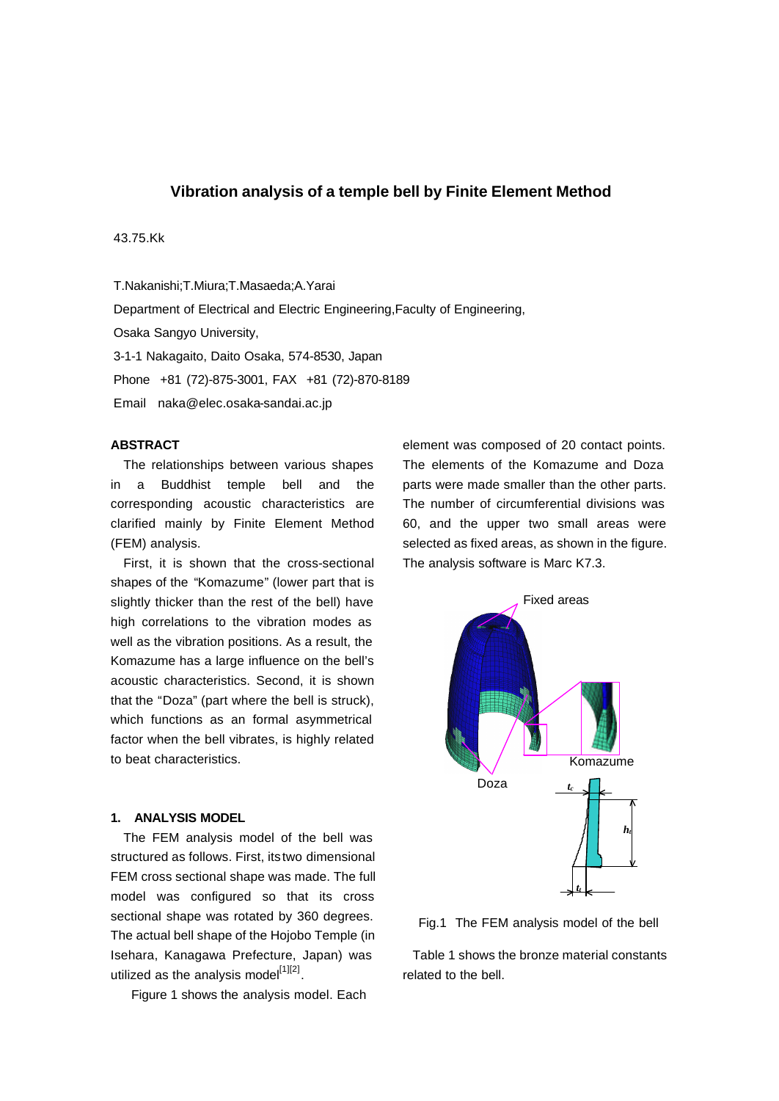## **Vibration analysis of a temple bell by Finite Element Method**

### 43.75.Kk

T.Nakanishi;T.Miura;T.Masaeda;A.Yarai Department of Electrical and Electric Engineering,Faculty of Engineering, Osaka Sangyo University, 3-1-1 Nakagaito, Daito Osaka, 574-8530, Japan Phone +81 (72)-875-3001, FAX +81 (72)-870-8189 Email naka@elec.osaka-sandai.ac.jp

### **ABSTRACT**

The relationships between various shapes in a Buddhist temple bell and the corresponding acoustic characteristics are clarified mainly by Finite Element Method (FEM) analysis.

First, it is shown that the cross-sectional shapes of the "Komazume" (lower part that is slightly thicker than the rest of the bell) have high correlations to the vibration modes as well as the vibration positions. As a result, the Komazume has a large influence on the bell's acoustic characteristics. Second, it is shown that the "Doza" (part where the bell is struck), which functions as an formal asymmetrical factor when the bell vibrates, is highly related to beat characteristics.

### **1. ANALYSIS MODEL**

The FEM analysis model of the bell was structured as follows. First, its two dimensional FEM cross sectional shape was made. The full model was configured so that its cross sectional shape was rotated by 360 degrees. The actual bell shape of the Hojobo Temple (in Isehara, Kanagawa Prefecture, Japan) was utilized as the analysis model<sup>[1][2]</sup>.

Figure 1 shows the analysis model. Each

element was composed of 20 contact points. The elements of the Komazume and Doza parts were made smaller than the other parts. The number of circumferential divisions was 60, and the upper two small areas were selected as fixed areas, as shown in the figure. The analysis software is Marc K7.3.



Fig.1 The FEM analysis model of the bell

Table 1 shows the bronze material constants related to the bell.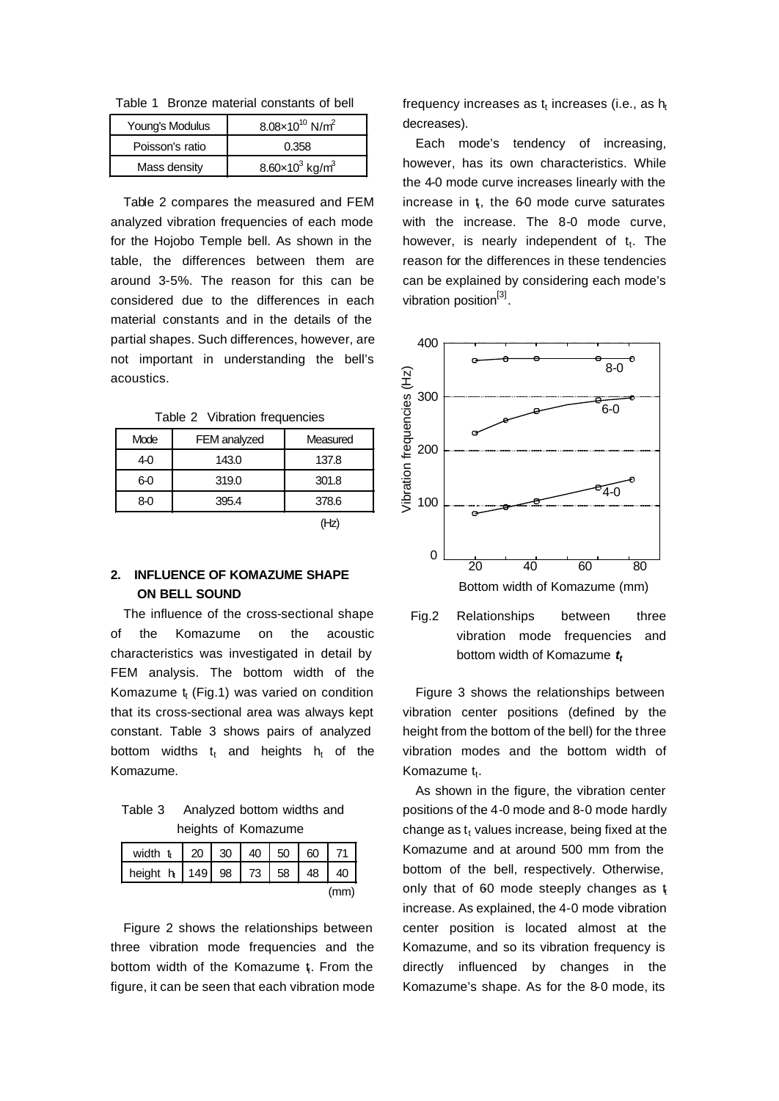Table 1 Bronze material constants of bell

| Young's Modulus | $8.08 \times 10^{10}$ N/m <sup>2</sup> |  |  |
|-----------------|----------------------------------------|--|--|
| Poisson's ratio | 0.358                                  |  |  |
| Mass density    | $8.60 \times 10^3$ kg/m <sup>3</sup>   |  |  |

Table 2 compares the measured and FEM analyzed vibration frequencies of each mode for the Hojobo Temple bell. As shown in the table, the differences between them are around 3-5%. The reason for this can be considered due to the differences in each material constants and in the details of the partial shapes. Such differences, however, are not important in understanding the bell's acoustics.

Table 2 Vibration frequencies

| Mode | FEM analyzed | Measured |  |
|------|--------------|----------|--|
| 4-0  | 143.0        | 137.8    |  |
| 6-0  | 319.0        | 301.8    |  |
| 8-0  | 395.4        | 378.6    |  |

 $(Hz)$ 

## **2. INFLUENCE OF KOMAZUME SHAPE ON BELL SOUND**

The influence of the cross-sectional shape of the Komazume on the acoustic characteristics was investigated in detail by FEM analysis. The bottom width of the Komazume  $t_t$  (Fig.1) was varied on condition that its cross-sectional area was always kept constant. Table 3 shows pairs of analyzed bottom widths  $t_t$  and heights  $h_t$  of the Komazume.

Table 3 Analyzed bottom widths and heights of Komazume

| width $t_1$   20   30   40   50   60   71 |  |  |      |
|-------------------------------------------|--|--|------|
| height h   149   98   73   58   48   40   |  |  |      |
|                                           |  |  | (mm) |

Figure 2 shows the relationships between three vibration mode frequencies and the bottom width of the Komazume t From the figure, it can be seen that each vibration mode

frequency increases as  $\mathfrak{t}_{\mathfrak{t}}$  increases (i.e., as  $\mathsf{h}_{\mathfrak{t}}$ decreases).

Each mode's tendency of increasing, however, has its own characteristics. While the 4-0 mode curve increases linearly with the increase in  $t$ , the 60 mode curve saturates with the increase. The 8-0 mode curve, however, is nearly independent of t<sub>t</sub>. The reason for the differences in these tendencies can be explained by considering each mode's vibration position<sup>[3]</sup>.



vibration mode frequencies and bottom width of Komazume *t<sup>t</sup>*

Figure 3 shows the relationships between vibration center positions (defined by the height from the bottom of the bell) for the three vibration modes and the bottom width of Komazume t<sub>t</sub>.

As shown in the figure, the vibration center positions of the 4-0 mode and 8-0 mode hardly change as  $t_t$  values increase, being fixed at the Komazume and at around 500 mm from the bottom of the bell, respectively. Otherwise, only that of 60 mode steeply changes as  $t$ increase. As explained, the 4-0 mode vibration center position is located almost at the Komazume, and so its vibration frequency is directly influenced by changes in the Komazume's shape. As for the 8-0 mode, its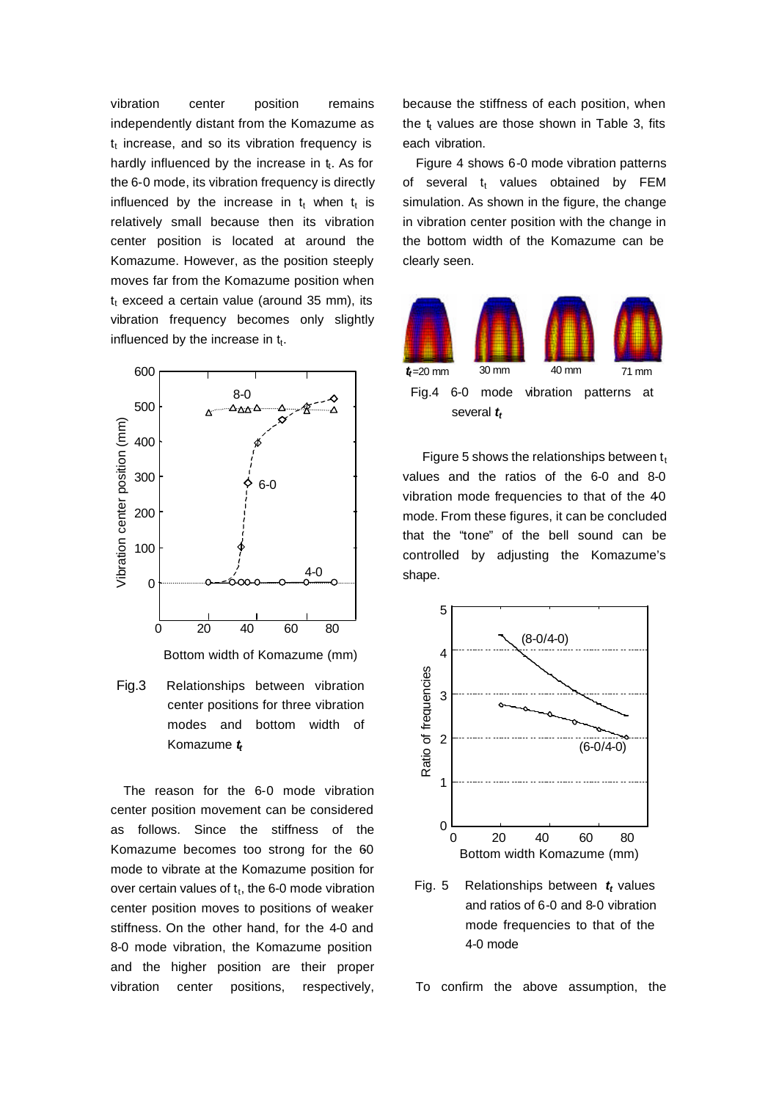vibration center position remains independently distant from the Komazume as  $t_t$  increase, and so its vibration frequency is hardly influenced by the increase in  $t_t$ . As for the 6-0 mode, its vibration frequency is directly influenced by the increase in  $t_t$  when  $t_t$  is relatively small because then its vibration center position is located at around the Komazume. However, as the position steeply moves far from the Komazume position when  $t_t$  exceed a certain value (around 35 mm), its vibration frequency becomes only slightly influenced by the increase in  $t_t$ .



Bottom width of Komazume (mm)

Fig.3 Relationships between vibration center positions for three vibration modes and bottom width of Komazume *t<sup>t</sup>*

The reason for the 6-0 mode vibration center position movement can be considered as follows. Since the stiffness of the Komazume becomes too strong for the 60 mode to vibrate at the Komazume position for over certain values of  $t_t$ , the 6-0 mode vibration center position moves to positions of weaker stiffness. On the other hand, for the 4-0 and 8-0 mode vibration, the Komazume position and the higher position are their proper vibration center positions, respectively,

because the stiffness of each position, when the  $t_t$  values are those shown in Table 3, fits each vibration.

 Figure 4 shows 6-0 mode vibration patterns of several  $t_t$  values obtained by FEM simulation. As shown in the figure, the change in vibration center position with the change in the bottom width of the Komazume can be clearly seen.



Figure 5 shows the relationships between  $t_t$ values and the ratios of the 6-0 and 8-0 vibration mode frequencies to that of the 40 mode. From these figures, it can be concluded that the "tone" of the bell sound can be controlled by adjusting the Komazume's shape.



Fig. 5 Relationships between *t<sup>t</sup>* values and ratios of 6-0 and 8-0 vibration mode frequencies to that of the 4-0 mode

To confirm the above assumption, the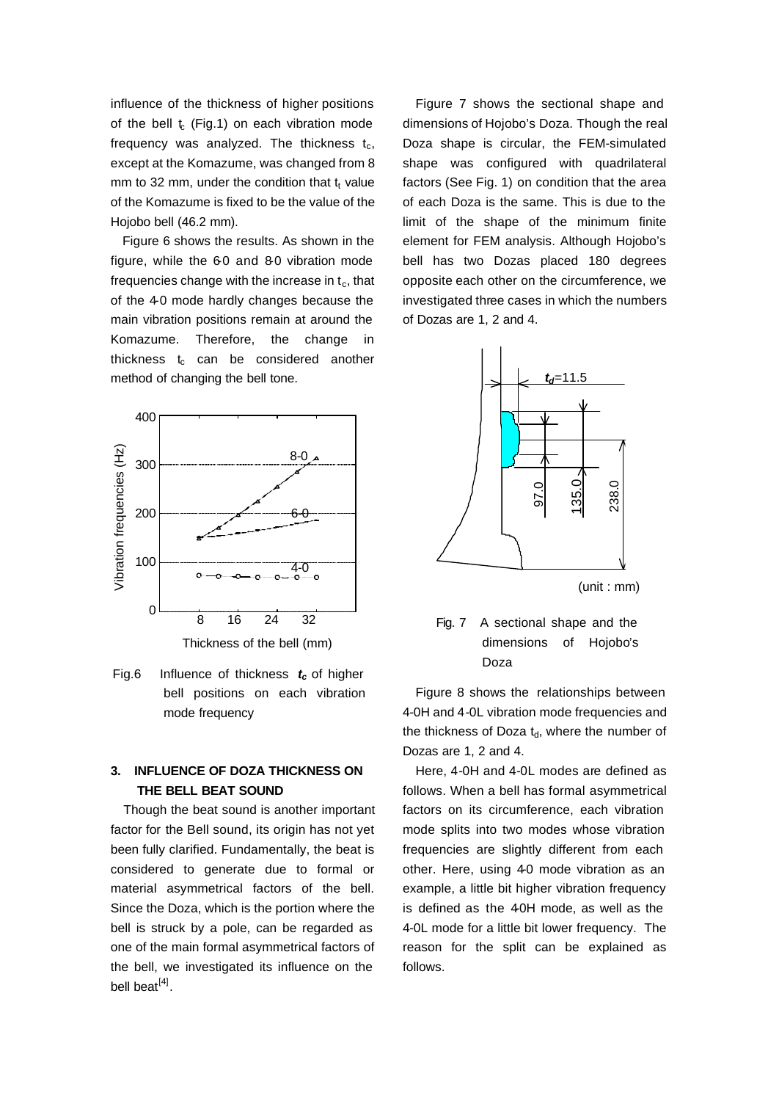influence of the thickness of higher positions of the bell  $t_c$  (Fig.1) on each vibration mode frequency was analyzed. The thickness  $t_c$ , except at the Komazume, was changed from 8 mm to 32 mm, under the condition that  $t_t$  value of the Komazume is fixed to be the value of the Hojobo bell (46.2 mm).

Figure 6 shows the results. As shown in the figure, while the 60 and 80 vibration mode frequencies change with the increase in  $t_c$ , that of the 4-0 mode hardly changes because the main vibration positions remain at around the Komazume. Therefore, the change in thickness  $t_c$  can be considered another method of changing the bell tone.



Thickness of the bell (mm)

Fig.6 Influence of thickness *tc* of higher bell positions on each vibration mode frequency

# **3. INFLUENCE OF DOZA THICKNESS ON THE BELL BEAT SOUND**

Though the beat sound is another important factor for the Bell sound, its origin has not yet been fully clarified. Fundamentally, the beat is considered to generate due to formal or material asymmetrical factors of the bell. Since the Doza, which is the portion where the bell is struck by a pole, can be regarded as one of the main formal asymmetrical factors of the bell, we investigated its influence on the bell beat<sup>[4]</sup>.

Figure 7 shows the sectional shape and dimensions of Hojobo's Doza. Though the real Doza shape is circular, the FEM-simulated shape was configured with quadrilateral factors (See Fig. 1) on condition that the area of each Doza is the same. This is due to the limit of the shape of the minimum finite element for FEM analysis. Although Hojobo's bell has two Dozas placed 180 degrees opposite each other on the circumference, we investigated three cases in which the numbers of Dozas are 1, 2 and 4.



(unit : mm)

Fig. 7 A sectional shape and the dimensions of Hojobo's Doza

Figure 8 shows the relationships between 4-0H and 4-0L vibration mode frequencies and the thickness of Doza  $t<sub>d</sub>$ , where the number of Dozas are 1, 2 and 4.

Here, 4-0H and 4-0L modes are defined as follows. When a bell has formal asymmetrical factors on its circumference, each vibration mode splits into two modes whose vibration frequencies are slightly different from each other. Here, using 4-0 mode vibration as an example, a little bit higher vibration frequency is defined as the 40H mode, as well as the 4-0L mode for a little bit lower frequency. The reason for the split can be explained as follows.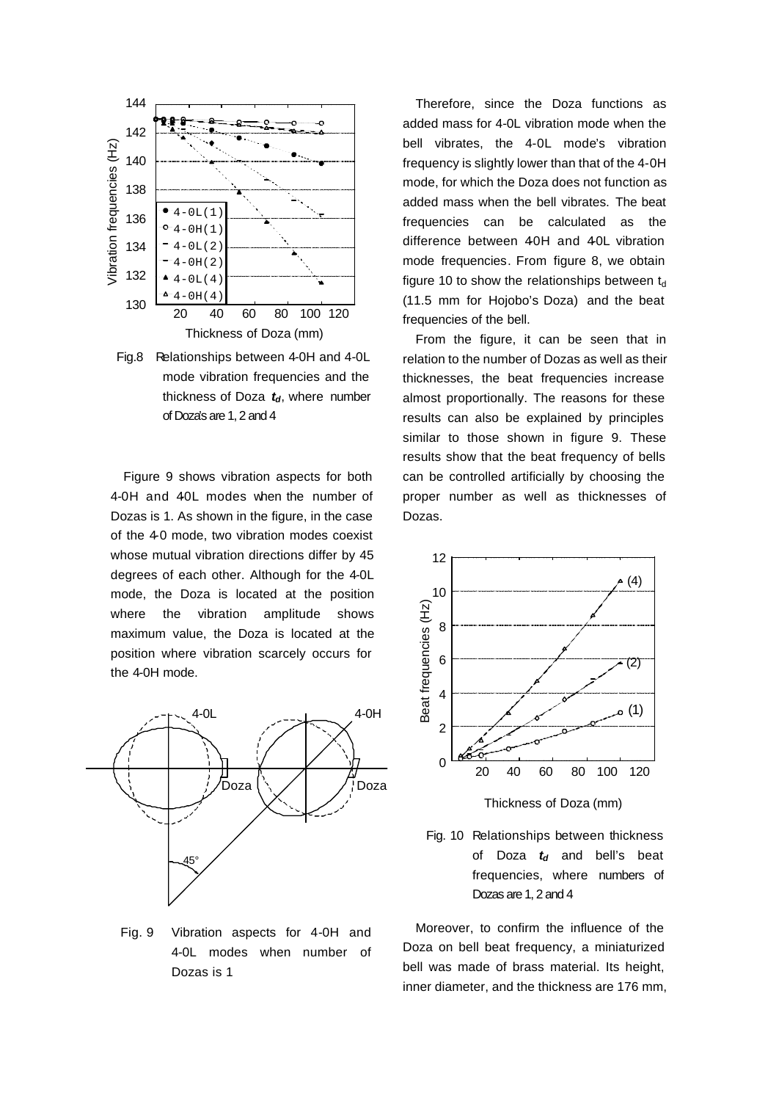

Fig.8 Relationships between 4-0H and 4-0L mode vibration frequencies and the thickness of Doza *td*, where number of Doza's are 1, 2 and 4

Figure 9 shows vibration aspects for both 4-0H and 40L modes when the number of Dozas is 1. As shown in the figure, in the case of the 4-0 mode, two vibration modes coexist whose mutual vibration directions differ by 45 degrees of each other. Although for the 4-0L mode, the Doza is located at the position where the vibration amplitude shows maximum value, the Doza is located at the position where vibration scarcely occurs for the 4-0H mode.



Fig. 9 Vibration aspects for 4-0H and 4-0L modes when number of Dozas is 1

Therefore, since the Doza functions as added mass for 4-0L vibration mode when the bell vibrates, the 4-0L mode's vibration frequency is slightly lower than that of the 4-0H mode, for which the Doza does not function as added mass when the bell vibrates. The beat frequencies can be calculated as the difference between 40H and 40L vibration mode frequencies. From figure 8, we obtain figure 10 to show the relationships between  $t_d$ (11.5 mm for Hojobo's Doza) and the beat frequencies of the bell.

From the figure, it can be seen that in relation to the number of Dozas as well as their thicknesses, the beat frequencies increase almost proportionally. The reasons for these results can also be explained by principles similar to those shown in figure 9. These results show that the beat frequency of bells can be controlled artificially by choosing the proper number as well as thicknesses of Dozas.



Fig. 10 Relationships between thickness of Doza *td* and bell's beat frequencies, where numbers of Dozas are 1, 2 and 4

Moreover, to confirm the influence of the Doza on bell beat frequency, a miniaturized bell was made of brass material. Its height, inner diameter, and the thickness are 176 mm,